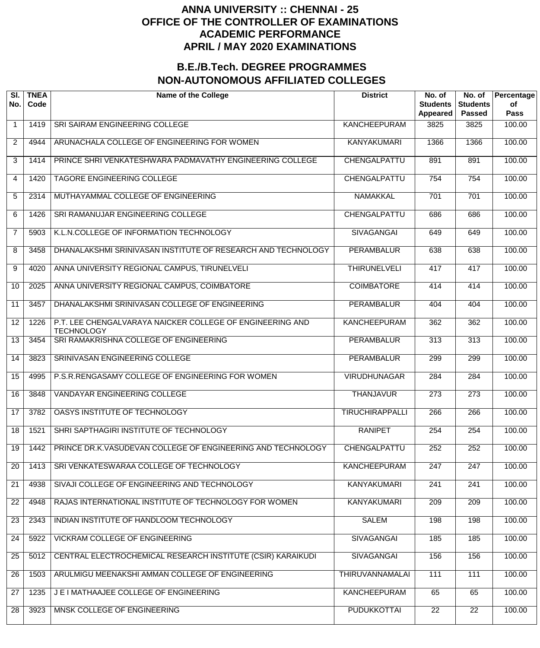| SI.<br>No.      | <b>TNEA</b><br>Code | <b>Name of the College</b>                                                     | <b>District</b>        | No. of<br><b>Students</b><br>Appeared | No. of<br><b>Students</b><br><b>Passed</b> | Percentage<br>of<br><b>Pass</b> |
|-----------------|---------------------|--------------------------------------------------------------------------------|------------------------|---------------------------------------|--------------------------------------------|---------------------------------|
| $\overline{1}$  | 1419                | SRI SAIRAM ENGINEERING COLLEGE                                                 | <b>KANCHEEPURAM</b>    | 3825                                  | 3825                                       | 100.00                          |
| $\overline{2}$  | 4944                | ARUNACHALA COLLEGE OF ENGINEERING FOR WOMEN                                    | <b>KANYAKUMARI</b>     | 1366                                  | 1366                                       | 100.00                          |
| 3               | 1414                | PRINCE SHRI VENKATESHWARA PADMAVATHY ENGINEERING COLLEGE                       | CHENGALPATTU           | 891                                   | 891                                        | 100.00                          |
| 4               | 1420                | <b>TAGORE ENGINEERING COLLEGE</b>                                              | CHENGALPATTU           | 754                                   | 754                                        | 100.00                          |
| 5               | 2314                | MUTHAYAMMAL COLLEGE OF ENGINEERING                                             | <b>NAMAKKAL</b>        | 701                                   | 701                                        | 100.00                          |
| 6               | 1426                | SRI RAMANUJAR ENGINEERING COLLEGE                                              | CHENGALPATTU           | 686                                   | 686                                        | 100.00                          |
| $\overline{7}$  | 5903                | K.L.N.COLLEGE OF INFORMATION TECHNOLOGY                                        | <b>SIVAGANGAI</b>      | 649                                   | 649                                        | 100.00                          |
| 8               | 3458                | DHANALAKSHMI SRINIVASAN INSTITUTE OF RESEARCH AND TECHNOLOGY                   | <b>PERAMBALUR</b>      | 638                                   | 638                                        | 100.00                          |
| 9               | 4020                | ANNA UNIVERSITY REGIONAL CAMPUS, TIRUNELVELI                                   | <b>THIRUNELVELI</b>    | 417                                   | 417                                        | 100.00                          |
| 10              | 2025                | ANNA UNIVERSITY REGIONAL CAMPUS, COIMBATORE                                    | <b>COIMBATORE</b>      | 414                                   | 414                                        | 100.00                          |
| 11              | 3457                | DHANALAKSHMI SRINIVASAN COLLEGE OF ENGINEERING                                 | <b>PERAMBALUR</b>      | 404                                   | 404                                        | 100.00                          |
| 12              | 1226                | P.T. LEE CHENGALVARAYA NAICKER COLLEGE OF ENGINEERING AND<br><b>TECHNOLOGY</b> | <b>KANCHEEPURAM</b>    | 362                                   | 362                                        | 100.00                          |
| 13              | 3454                | SRI RAMAKRISHNA COLLEGE OF ENGINEERING                                         | <b>PERAMBALUR</b>      | $\overline{313}$                      | $\overline{313}$                           | 100.00                          |
| 14              | 3823                | SRINIVASAN ENGINEERING COLLEGE                                                 | <b>PERAMBALUR</b>      | 299                                   | 299                                        | 100.00                          |
| 15              | 4995                | P.S.R.RENGASAMY COLLEGE OF ENGINEERING FOR WOMEN                               | <b>VIRUDHUNAGAR</b>    | 284                                   | 284                                        | 100.00                          |
| 16              | 3848                | <b>VANDAYAR ENGINEERING COLLEGE</b>                                            | <b>THANJAVUR</b>       | 273                                   | 273                                        | 100.00                          |
| 17              | 3782                | OASYS INSTITUTE OF TECHNOLOGY                                                  | <b>TIRUCHIRAPPALLI</b> | 266                                   | 266                                        | 100.00                          |
| $\overline{18}$ | 1521                | SHRI SAPTHAGIRI INSTITUTE OF TECHNOLOGY                                        | <b>RANIPET</b>         | 254                                   | 254                                        | 100.00                          |
| 19              | 1442                | PRINCE DR.K.VASUDEVAN COLLEGE OF ENGINEERING AND TECHNOLOGY                    | CHENGALPATTU           | 252                                   | 252                                        | 100.00                          |
| 20              | 1413                | SRI VENKATESWARAA COLLEGE OF TECHNOLOGY                                        | <b>KANCHEEPURAM</b>    | 247                                   | 247                                        | 100.00                          |
| 21              | 4938                | SIVAJI COLLEGE OF ENGINEERING AND TECHNOLOGY                                   | <b>KANYAKUMARI</b>     | 241                                   | 241                                        | 100.00                          |
| $\overline{22}$ | 4948                | RAJAS INTERNATIONAL INSTITUTE OF TECHNOLOGY FOR WOMEN                          | <b>KANYAKUMARI</b>     | 209                                   | $\overline{209}$                           | 100.00                          |
| 23              | 2343                | INDIAN INSTITUTE OF HANDLOOM TECHNOLOGY                                        | <b>SALEM</b>           | 198                                   | 198                                        | 100.00                          |
| 24              | 5922                | <b>VICKRAM COLLEGE OF ENGINEERING</b>                                          | <b>SIVAGANGAI</b>      | 185                                   | 185                                        | 100.00                          |
| 25              | 5012                | CENTRAL ELECTROCHEMICAL RESEARCH INSTITUTE (CSIR) KARAIKUDI                    | <b>SIVAGANGAI</b>      | 156                                   | 156                                        | 100.00                          |
| 26              | 1503                | ARULMIGU MEENAKSHI AMMAN COLLEGE OF ENGINEERING                                | <b>THIRUVANNAMALAI</b> | 111                                   | 111                                        | 100.00                          |
| 27              | 1235                | J E I MATHAAJEE COLLEGE OF ENGINEERING                                         | <b>KANCHEEPURAM</b>    | 65                                    | 65                                         | 100.00                          |
| 28              | 3923                | MNSK COLLEGE OF ENGINEERING                                                    | <b>PUDUKKOTTAI</b>     | $\overline{22}$                       | $\overline{22}$                            | 100.00                          |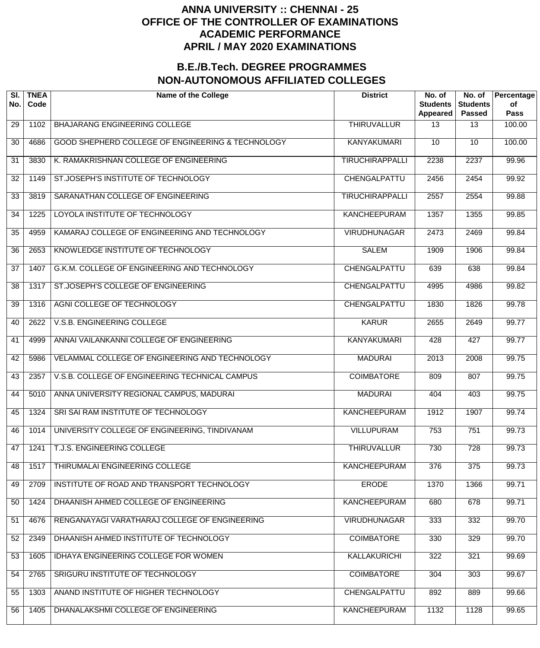| SI.<br>No. | <b>TNEA</b><br>Code | <b>Name of the College</b>                        | <b>District</b>        | No. of<br><b>Students</b><br>Appeared | No. of<br><b>Students</b><br><b>Passed</b> | Percentage<br>of<br><b>Pass</b> |
|------------|---------------------|---------------------------------------------------|------------------------|---------------------------------------|--------------------------------------------|---------------------------------|
| 29         | 1102                | BHAJARANG ENGINEERING COLLEGE                     | <b>THIRUVALLUR</b>     | 13                                    | $\overline{13}$                            | 100.00                          |
| 30         | 4686                | GOOD SHEPHERD COLLEGE OF ENGINEERING & TECHNOLOGY | <b>KANYAKUMARI</b>     | 10 <sup>°</sup>                       | $\overline{10}$                            | 100.00                          |
| 31         | 3830                | K. RAMAKRISHNAN COLLEGE OF ENGINEERING            | <b>TIRUCHIRAPPALLI</b> | 2238                                  | 2237                                       | 99.96                           |
| 32         | 1149                | ST.JOSEPH'S INSTITUTE OF TECHNOLOGY               | CHENGALPATTU           | 2456                                  | 2454                                       | 99.92                           |
| 33         | 3819                | SARANATHAN COLLEGE OF ENGINEERING                 | <b>TIRUCHIRAPPALLI</b> | 2557                                  | 2554                                       | 99.88                           |
| 34         | 1225                | LOYOLA INSTITUTE OF TECHNOLOGY                    | <b>KANCHEEPURAM</b>    | 1357                                  | 1355                                       | 99.85                           |
| 35         | 4959                | KAMARAJ COLLEGE OF ENGINEERING AND TECHNOLOGY     | <b>VIRUDHUNAGAR</b>    | 2473                                  | 2469                                       | 99.84                           |
| 36         | 2653                | KNOWLEDGE INSTITUTE OF TECHNOLOGY                 | <b>SALEM</b>           | 1909                                  | 1906                                       | 99.84                           |
| 37         | 1407                | G.K.M. COLLEGE OF ENGINEERING AND TECHNOLOGY      | CHENGALPATTU           | 639                                   | 638                                        | 99.84                           |
| 38         | 1317                | ST.JOSEPH'S COLLEGE OF ENGINEERING                | CHENGALPATTU           | 4995                                  | 4986                                       | 99.82                           |
| 39         | 1316                | AGNI COLLEGE OF TECHNOLOGY                        | CHENGALPATTU           | 1830                                  | 1826                                       | 99.78                           |
| 40         | 2622                | V.S.B. ENGINEERING COLLEGE                        | <b>KARUR</b>           | 2655                                  | 2649                                       | 99.77                           |
| 41         | 4999                | ANNAI VAILANKANNI COLLEGE OF ENGINEERING          | <b>KANYAKUMARI</b>     | 428                                   | 427                                        | 99.77                           |
| 42         | 5986                | VELAMMAL COLLEGE OF ENGINEERING AND TECHNOLOGY    | <b>MADURAI</b>         | 2013                                  | 2008                                       | 99.75                           |
| 43         | 2357                | V.S.B. COLLEGE OF ENGINEERING TECHNICAL CAMPUS    | <b>COIMBATORE</b>      | 809                                   | 807                                        | 99.75                           |
| 44         | 5010                | ANNA UNIVERSITY REGIONAL CAMPUS, MADURAI          | <b>MADURAI</b>         | 404                                   | 403                                        | 99.75                           |
| 45         | 1324                | SRI SAI RAM INSTITUTE OF TECHNOLOGY               | <b>KANCHEEPURAM</b>    | 1912                                  | 1907                                       | 99.74                           |
| 46         | 1014                | UNIVERSITY COLLEGE OF ENGINEERING, TINDIVANAM     | <b>VILLUPURAM</b>      | 753                                   | 751                                        | 99.73                           |
| 47         | 1241                | T.J.S. ENGINEERING COLLEGE                        | <b>THIRUVALLUR</b>     | 730                                   | 728                                        | 99.73                           |
| 48         | 1517                | THIRUMALAI ENGINEERING COLLEGE                    | <b>KANCHEEPURAM</b>    | 376                                   | 375                                        | 99.73                           |
| 49         | 2709                | INSTITUTE OF ROAD AND TRANSPORT TECHNOLOGY        | <b>ERODE</b>           | 1370                                  | 1366                                       | 99.71                           |
| 50         | 1424                | DHAANISH AHMED COLLEGE OF ENGINEERING             | <b>KANCHEEPURAM</b>    | 680                                   | 678                                        | 99.71                           |
| 51         | 4676                | RENGANAYAGI VARATHARAJ COLLEGE OF ENGINEERING     | <b>VIRUDHUNAGAR</b>    | 333                                   | 332                                        | 99.70                           |
| 52         | 2349                | DHAANISH AHMED INSTITUTE OF TECHNOLOGY            | <b>COIMBATORE</b>      | 330                                   | 329                                        | 99.70                           |
| 53         | 1605                | IDHAYA ENGINEERING COLLEGE FOR WOMEN              | KALLAKURICHI           | 322                                   | 321                                        | 99.69                           |
| 54         | 2765                | SRIGURU INSTITUTE OF TECHNOLOGY                   | <b>COIMBATORE</b>      | 304                                   | 303                                        | 99.67                           |
| 55         | 1303                | ANAND INSTITUTE OF HIGHER TECHNOLOGY              | CHENGALPATTU           | 892                                   | 889                                        | 99.66                           |
| 56         | 1405                | DHANALAKSHMI COLLEGE OF ENGINEERING               | <b>KANCHEEPURAM</b>    | 1132                                  | 1128                                       | 99.65                           |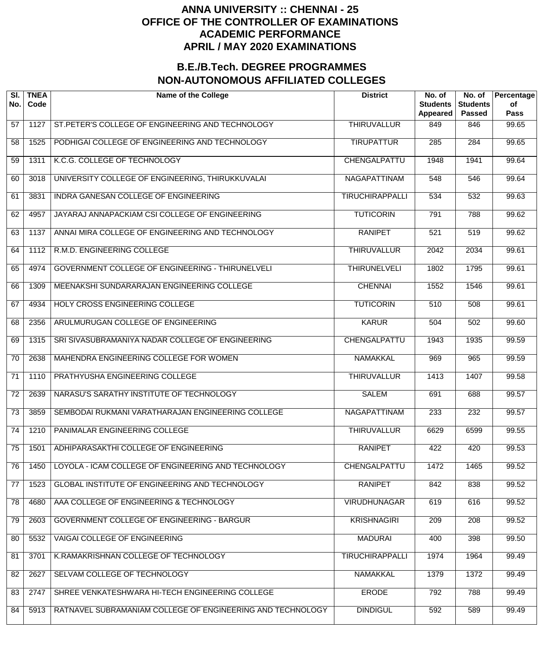| SI.<br>No.      | <b>TNEA</b><br>Code | <b>Name of the College</b>                                 | <b>District</b>        | No. of<br><b>Students</b><br>Appeared | No. of<br><b>Students</b><br><b>Passed</b> | Percentage<br>of<br><b>Pass</b> |
|-----------------|---------------------|------------------------------------------------------------|------------------------|---------------------------------------|--------------------------------------------|---------------------------------|
| 57              | 1127                | ST. PETER'S COLLEGE OF ENGINEERING AND TECHNOLOGY          | <b>THIRUVALLUR</b>     | 849                                   | 846                                        | 99.65                           |
| 58              | 1525                | PODHIGAI COLLEGE OF ENGINEERING AND TECHNOLOGY             | <b>TIRUPATTUR</b>      | $\overline{285}$                      | 284                                        | 99.65                           |
| 59              | 1311                | K.C.G. COLLEGE OF TECHNOLOGY                               | CHENGALPATTU           | 1948                                  | 1941                                       | 99.64                           |
| 60              | 3018                | UNIVERSITY COLLEGE OF ENGINEERING, THIRUKKUVALAI           | <b>NAGAPATTINAM</b>    | 548                                   | 546                                        | 99.64                           |
| 61              | 3831                | INDRA GANESAN COLLEGE OF ENGINEERING                       | <b>TIRUCHIRAPPALLI</b> | 534                                   | 532                                        | 99.63                           |
| 62              | 4957                | JAYARAJ ANNAPACKIAM CSI COLLEGE OF ENGINEERING             | <b>TUTICORIN</b>       | 791                                   | 788                                        | 99.62                           |
| 63              | 1137                | ANNAI MIRA COLLEGE OF ENGINEERING AND TECHNOLOGY           | <b>RANIPET</b>         | 521                                   | 519                                        | $\frac{1}{99.62}$               |
| 64              | 1112                | R.M.D. ENGINEERING COLLEGE                                 | <b>THIRUVALLUR</b>     | 2042                                  | 2034                                       | 99.61                           |
| 65              | 4974                | <b>GOVERNMENT COLLEGE OF ENGINEERING - THIRUNELVELI</b>    | <b>THIRUNELVELI</b>    | 1802                                  | 1795                                       | 99.61                           |
| 66              | 1309                | MEENAKSHI SUNDARARAJAN ENGINEERING COLLEGE                 | <b>CHENNAI</b>         | 1552                                  | 1546                                       | 99.61                           |
| 67              | 4934                | HOLY CROSS ENGINEERING COLLEGE                             | <b>TUTICORIN</b>       | 510                                   | 508                                        | 99.61                           |
| 68              | 2356                | ARULMURUGAN COLLEGE OF ENGINEERING                         | <b>KARUR</b>           | 504                                   | 502                                        | 99.60                           |
| 69              | 1315                | SRI SIVASUBRAMANIYA NADAR COLLEGE OF ENGINEERING           | CHENGALPATTU           | 1943                                  | 1935                                       | 99.59                           |
| 70              | 2638                | MAHENDRA ENGINEERING COLLEGE FOR WOMEN                     | <b>NAMAKKAL</b>        | 969                                   | 965                                        | 99.59                           |
| 71              | 1110                | PRATHYUSHA ENGINEERING COLLEGE                             | <b>THIRUVALLUR</b>     | 1413                                  | 1407                                       | 99.58                           |
| $\overline{72}$ | 2639                | NARASU'S SARATHY INSTITUTE OF TECHNOLOGY                   | <b>SALEM</b>           | 691                                   | 688                                        | 99.57                           |
| $\overline{73}$ | 3859                | SEMBODAI RUKMANI VARATHARAJAN ENGINEERING COLLEGE          | <b>NAGAPATTINAM</b>    | 233                                   | 232                                        | 99.57                           |
| $\overline{74}$ | 1210                | PANIMALAR ENGINEERING COLLEGE                              | <b>THIRUVALLUR</b>     | 6629                                  | 6599                                       | 99.55                           |
| 75              | 1501                | ADHIPARASAKTHI COLLEGE OF ENGINEERING                      | <b>RANIPET</b>         | 422                                   | 420                                        | 99.53                           |
| 76              | 1450                | LOYOLA - ICAM COLLEGE OF ENGINEERING AND TECHNOLOGY        | CHENGALPATTU           | 1472                                  | 1465                                       | 99.52                           |
| 77              | 1523                | GLOBAL INSTITUTE OF ENGINEERING AND TECHNOLOGY             | <b>RANIPET</b>         | 842                                   | 838                                        | 99.52                           |
| 78              | 4680                | AAA COLLEGE OF ENGINEERING & TECHNOLOGY                    | <b>VIRUDHUNAGAR</b>    | 619                                   | 616                                        | 99.52                           |
| 79              | 2603                | <b>GOVERNMENT COLLEGE OF ENGINEERING - BARGUR</b>          | <b>KRISHNAGIRI</b>     | 209                                   | $\overline{208}$                           | 99.52                           |
| 80              | 5532                | VAIGAI COLLEGE OF ENGINEERING                              | <b>MADURAI</b>         | 400                                   | 398                                        | 99.50                           |
| 81              | 3701                | K.RAMAKRISHNAN COLLEGE OF TECHNOLOGY                       | <b>TIRUCHIRAPPALLI</b> | 1974                                  | 1964                                       | 99.49                           |
| 82              | 2627                | SELVAM COLLEGE OF TECHNOLOGY                               | <b>NAMAKKAL</b>        | 1379                                  | 1372                                       | 99.49                           |
| 83              | 2747                | SHREE VENKATESHWARA HI-TECH ENGINEERING COLLEGE            | <b>ERODE</b>           | 792                                   | 788                                        | 99.49                           |
| 84              | 5913                | RATNAVEL SUBRAMANIAM COLLEGE OF ENGINEERING AND TECHNOLOGY | <b>DINDIGUL</b>        | 592                                   | 589                                        | 99.49                           |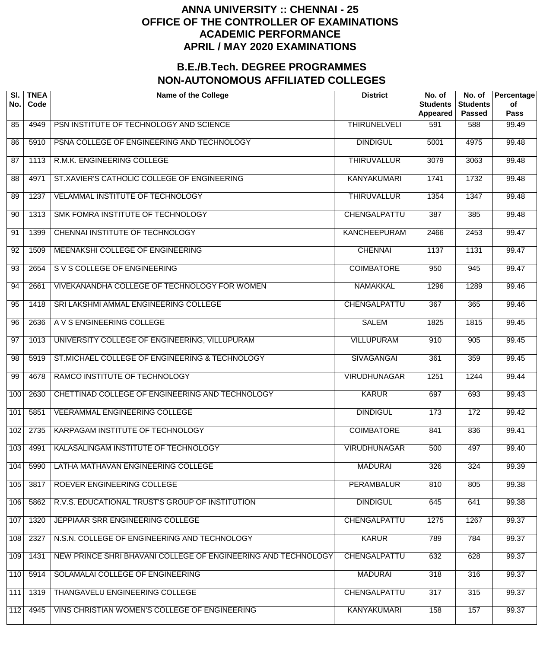| SI.<br>No.      | <b>TNEA</b><br>Code | <b>Name of the College</b>                                    | <b>District</b>     | No. of<br><b>Students</b><br>Appeared | No. of<br><b>Students</b><br><b>Passed</b> | Percentage<br>of<br><b>Pass</b> |
|-----------------|---------------------|---------------------------------------------------------------|---------------------|---------------------------------------|--------------------------------------------|---------------------------------|
| 85              | 4949                | PSN INSTITUTE OF TECHNOLOGY AND SCIENCE                       | <b>THIRUNELVELI</b> | 591                                   | 588                                        | 99.49                           |
| 86              | 5910                | PSNA COLLEGE OF ENGINEERING AND TECHNOLOGY                    | <b>DINDIGUL</b>     | 5001                                  | 4975                                       | 99.48                           |
| 87              | 1113                | R.M.K. ENGINEERING COLLEGE                                    | <b>THIRUVALLUR</b>  | 3079                                  | 3063                                       | 99.48                           |
| 88              | 4971                | ST.XAVIER'S CATHOLIC COLLEGE OF ENGINEERING                   | <b>KANYAKUMARI</b>  | 1741                                  | 1732                                       | 99.48                           |
| 89              | 1237                | VELAMMAL INSTITUTE OF TECHNOLOGY                              | <b>THIRUVALLUR</b>  | 1354                                  | 1347                                       | 99.48                           |
| 90              | 1313                | SMK FOMRA INSTITUTE OF TECHNOLOGY                             | <b>CHENGALPATTU</b> | 387                                   | 385                                        | 99.48                           |
| 91              | 1399                | CHENNAI INSTITUTE OF TECHNOLOGY                               | <b>KANCHEEPURAM</b> | 2466                                  | 2453                                       | 99.47                           |
| 92              | 1509                | MEENAKSHI COLLEGE OF ENGINEERING                              | <b>CHENNAI</b>      | 1137                                  | 1131                                       | 99.47                           |
| 93              | 2654                | S V S COLLEGE OF ENGINEERING                                  | <b>COIMBATORE</b>   | 950                                   | 945                                        | 99.47                           |
| 94              | 2661                | VIVEKANANDHA COLLEGE OF TECHNOLOGY FOR WOMEN                  | <b>NAMAKKAL</b>     | 1296                                  | 1289                                       | 99.46                           |
| 95              | 1418                | SRI LAKSHMI AMMAL ENGINEERING COLLEGE                         | <b>CHENGALPATTU</b> | $\overline{367}$                      | 365                                        | 99.46                           |
| 96              | 2636                | A V S ENGINEERING COLLEGE                                     | <b>SALEM</b>        | 1825                                  | 1815                                       | 99.45                           |
| $\overline{97}$ | 1013                | UNIVERSITY COLLEGE OF ENGINEERING, VILLUPURAM                 | <b>VILLUPURAM</b>   | 910                                   | $\overline{905}$                           | 99.45                           |
| 98              | 5919                | ST.MICHAEL COLLEGE OF ENGINEERING & TECHNOLOGY                | <b>SIVAGANGAI</b>   | 361                                   | 359                                        | $\frac{1}{99.45}$               |
| 99              | 4678                | RAMCO INSTITUTE OF TECHNOLOGY                                 | <b>VIRUDHUNAGAR</b> | 1251                                  | 1244                                       | 99.44                           |
| 100             | 2630                | CHETTINAD COLLEGE OF ENGINEERING AND TECHNOLOGY               | <b>KARUR</b>        | 697                                   | 693                                        | 99.43                           |
| 101             | 5851                | <b>VEERAMMAL ENGINEERING COLLEGE</b>                          | <b>DINDIGUL</b>     | 173                                   | 172                                        | 99.42                           |
| 102             | 2735                | KARPAGAM INSTITUTE OF TECHNOLOGY                              | <b>COIMBATORE</b>   | 841                                   | 836                                        | 99.41                           |
| 103             | 4991                | KALASALINGAM INSTITUTE OF TECHNOLOGY                          | <b>VIRUDHUNAGAR</b> | 500                                   | 497                                        | 99.40                           |
| 104             | 5990                | LATHA MATHAVAN ENGINEERING COLLEGE                            | <b>MADURAI</b>      | 326                                   | 324                                        | 99.39                           |
| 105             | 3817                | ROEVER ENGINEERING COLLEGE                                    | <b>PERAMBALUR</b>   | 810                                   | 805                                        | 99.38                           |
| 106             | 5862                | R.V.S. EDUCATIONAL TRUST'S GROUP OF INSTITUTION               | <b>DINDIGUL</b>     | 645                                   | 641                                        | 99.38                           |
| 107             | 1320                | JEPPIAAR SRR ENGINEERING COLLEGE                              | CHENGALPATTU        | 1275                                  | 1267                                       | 99.37                           |
| 108             | 2327                | N.S.N. COLLEGE OF ENGINEERING AND TECHNOLOGY                  | <b>KARUR</b>        | 789                                   | 784                                        | 99.37                           |
| 109             | 1431                | NEW PRINCE SHRI BHAVANI COLLEGE OF ENGINEERING AND TECHNOLOGY | CHENGALPATTU        | 632                                   | 628                                        | 99.37                           |
| 110             | 5914                | SOLAMALAI COLLEGE OF ENGINEERING                              | <b>MADURAI</b>      | 318                                   | 316                                        | 99.37                           |
| 111             | 1319                | THANGAVELU ENGINEERING COLLEGE                                | CHENGALPATTU        | 317                                   | 315                                        | 99.37                           |
| 112             | 4945                | VINS CHRISTIAN WOMEN'S COLLEGE OF ENGINEERING                 | <b>KANYAKUMARI</b>  | 158                                   | 157                                        | 99.37                           |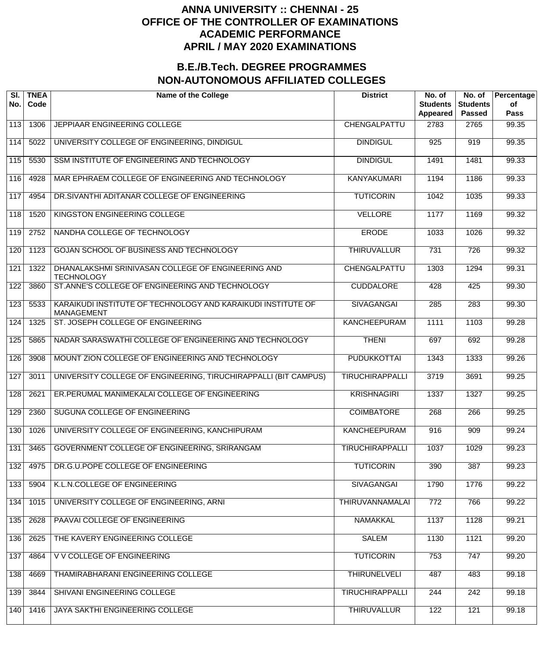| SI.<br>No. | <b>TNEA</b><br>Code | <b>Name of the College</b>                                                        | <b>District</b>        | No. of<br><b>Students</b><br>Appeared | No. of<br><b>Students</b><br><b>Passed</b> | Percentage<br>of<br><b>Pass</b> |
|------------|---------------------|-----------------------------------------------------------------------------------|------------------------|---------------------------------------|--------------------------------------------|---------------------------------|
| 113        | 1306                | JEPPIAAR ENGINEERING COLLEGE                                                      | CHENGALPATTU           | 2783                                  | 2765                                       | 99.35                           |
| 114        | 5022                | UNIVERSITY COLLEGE OF ENGINEERING, DINDIGUL                                       | <b>DINDIGUL</b>        | 925                                   | 919                                        | 99.35                           |
| 115        | 5530                | SSM INSTITUTE OF ENGINEERING AND TECHNOLOGY                                       | <b>DINDIGUL</b>        | 1491                                  | 1481                                       | 99.33                           |
| 116        | 4928                | MAR EPHRAEM COLLEGE OF ENGINEERING AND TECHNOLOGY                                 | <b>KANYAKUMARI</b>     | 1194                                  | 1186                                       | 99.33                           |
| 117        | 4954                | DR. SIVANTHI ADITANAR COLLEGE OF ENGINEERING                                      | <b>TUTICORIN</b>       | 1042                                  | 1035                                       | 99.33                           |
| 118        | 1520                | KINGSTON ENGINEERING COLLEGE                                                      | <b>VELLORE</b>         | 1177                                  | 1169                                       | 99.32                           |
| 119        | 2752                | NANDHA COLLEGE OF TECHNOLOGY                                                      | <b>ERODE</b>           | 1033                                  | 1026                                       | 99.32                           |
| 120        | 1123                | GOJAN SCHOOL OF BUSINESS AND TECHNOLOGY                                           | <b>THIRUVALLUR</b>     | $\overline{731}$                      | $\overline{726}$                           | $\frac{1}{99.32}$               |
| 121        | 1322                | DHANALAKSHMI SRINIVASAN COLLEGE OF ENGINEERING AND<br><b>TECHNOLOGY</b>           | CHENGALPATTU           | 1303                                  | 1294                                       | 99.31                           |
| 122        | 3860                | ST.ANNE'S COLLEGE OF ENGINEERING AND TECHNOLOGY                                   | <b>CUDDALORE</b>       | 428                                   | 425                                        | 99.30                           |
| 123        | 5533                | KARAIKUDI INSTITUTE OF TECHNOLOGY AND KARAIKUDI INSTITUTE OF<br><b>MANAGEMENT</b> | <b>SIVAGANGAI</b>      | 285                                   | 283                                        | 99.30                           |
| 124        | 1325                | ST. JOSEPH COLLEGE OF ENGINEERING                                                 | <b>KANCHEEPURAM</b>    | 1111                                  | 1103                                       | 99.28                           |
| 125        | 5865                | NADAR SARASWATHI COLLEGE OF ENGINEERING AND TECHNOLOGY                            | <b>THENI</b>           | 697                                   | 692                                        | 99.28                           |
| 126        | 3908                | MOUNT ZION COLLEGE OF ENGINEERING AND TECHNOLOGY                                  | <b>PUDUKKOTTAI</b>     | 1343                                  | 1333                                       | 99.26                           |
| 127        | 3011                | UNIVERSITY COLLEGE OF ENGINEERING, TIRUCHIRAPPALLI (BIT CAMPUS)                   | <b>TIRUCHIRAPPALLI</b> | 3719                                  | 3691                                       | 99.25                           |
| 128        | 2621                | ER.PERUMAL MANIMEKALAI COLLEGE OF ENGINEERING                                     | <b>KRISHNAGIRI</b>     | 1337                                  | 1327                                       | 99.25                           |
| 129        | 2360                | SUGUNA COLLEGE OF ENGINEERING                                                     | <b>COIMBATORE</b>      | 268                                   | 266                                        | 99.25                           |
| 130        | 1026                | UNIVERSITY COLLEGE OF ENGINEERING, KANCHIPURAM                                    | <b>KANCHEEPURAM</b>    | 916                                   | 909                                        | 99.24                           |
| 131        | 3465                | GOVERNMENT COLLEGE OF ENGINEERING, SRIRANGAM                                      | <b>TIRUCHIRAPPALLI</b> | 1037                                  | 1029                                       | 99.23                           |
| 132        | 4975                | DR.G.U.POPE COLLEGE OF ENGINEERING                                                | <b>TUTICORIN</b>       | 390                                   | 387                                        | 99.23                           |
| 133        | 5904                | K.L.N.COLLEGE OF ENGINEERING                                                      | <b>SIVAGANGAI</b>      | 1790                                  | 1776                                       | 99.22                           |
| 134        | 1015                | UNIVERSITY COLLEGE OF ENGINEERING, ARNI                                           | <b>THIRUVANNAMALAI</b> | 772                                   | 766                                        | 99.22                           |
| 135        | 2628                | PAAVAI COLLEGE OF ENGINEERING                                                     | <b>NAMAKKAL</b>        | 1137                                  | 1128                                       | 99.21                           |
| 136        | 2625                | THE KAVERY ENGINEERING COLLEGE                                                    | <b>SALEM</b>           | 1130                                  | 1121                                       | 99.20                           |
| 137        | 4864                | V V COLLEGE OF ENGINEERING                                                        | <b>TUTICORIN</b>       | 753                                   | 747                                        | 99.20                           |
| 138        | 4669                | THAMIRABHARANI ENGINEERING COLLEGE                                                | <b>THIRUNELVELI</b>    | 487                                   | 483                                        | 99.18                           |
| 139        | 3844                | SHIVANI ENGINEERING COLLEGE                                                       | <b>TIRUCHIRAPPALLI</b> | 244                                   | 242                                        | 99.18                           |
| 140        | 1416                | JAYA SAKTHI ENGINEERING COLLEGE                                                   | <b>THIRUVALLUR</b>     | $\overline{122}$                      | 121                                        | 99.18                           |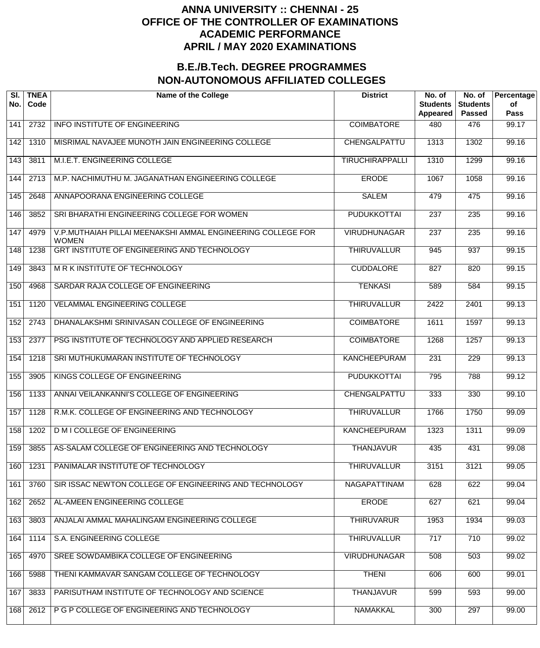| SI.<br>No. | <b>TNEA</b><br>Code | <b>Name of the College</b>                                                  | <b>District</b>        | No. of<br><b>Students</b><br>Appeared | No. of<br><b>Students</b><br><b>Passed</b> | Percentage<br>of<br>Pass |
|------------|---------------------|-----------------------------------------------------------------------------|------------------------|---------------------------------------|--------------------------------------------|--------------------------|
| 141        | 2732                | <b>INFO INSTITUTE OF ENGINEERING</b>                                        | <b>COIMBATORE</b>      | 480                                   | 476                                        | 99.17                    |
| 142        | 1310                | MISRIMAL NAVAJEE MUNOTH JAIN ENGINEERING COLLEGE                            | CHENGALPATTU           | 1313                                  | 1302                                       | 99.16                    |
| 143        | 3811                | M.I.E.T. ENGINEERING COLLEGE                                                | <b>TIRUCHIRAPPALLI</b> | 1310                                  | 1299                                       | 99.16                    |
| 144        | 2713                | M.P. NACHIMUTHU M. JAGANATHAN ENGINEERING COLLEGE                           | <b>ERODE</b>           | 1067                                  | 1058                                       | 99.16                    |
| 145        | 2648                | ANNAPOORANA ENGINEERING COLLEGE                                             | <b>SALEM</b>           | 479                                   | 475                                        | 99.16                    |
| 146        | 3852                | SRI BHARATHI ENGINEERING COLLEGE FOR WOMEN                                  | <b>PUDUKKOTTAI</b>     | $\overline{237}$                      | 235                                        | 99.16                    |
| 147        | 4979                | V.P.MUTHAIAH PILLAI MEENAKSHI AMMAL ENGINEERING COLLEGE FOR<br><b>WOMEN</b> | <b>VIRUDHUNAGAR</b>    | 237                                   | 235                                        | 99.16                    |
| 148        | 1238                | GRT INSTITUTE OF ENGINEERING AND TECHNOLOGY                                 | <b>THIRUVALLUR</b>     | 945                                   | $\overline{937}$                           | 99.15                    |
| 149        | 3843                | <b>MRK INSTITUTE OF TECHNOLOGY</b>                                          | <b>CUDDALORE</b>       | 827                                   | 820                                        | 99.15                    |
| 150        | 4968                | SARDAR RAJA COLLEGE OF ENGINEERING                                          | <b>TENKASI</b>         | 589                                   | 584                                        | 99.15                    |
| 151        | 1120                | <b>VELAMMAL ENGINEERING COLLEGE</b>                                         | <b>THIRUVALLUR</b>     | 2422                                  | 2401                                       | 99.13                    |
| 152        | 2743                | DHANALAKSHMI SRINIVASAN COLLEGE OF ENGINEERING                              | <b>COIMBATORE</b>      | 1611                                  | 1597                                       | 99.13                    |
| 153        | 2377                | PSG INSTITUTE OF TECHNOLOGY AND APPLIED RESEARCH                            | <b>COIMBATORE</b>      | 1268                                  | 1257                                       | 99.13                    |
| 154        | 1218                | SRI MUTHUKUMARAN INSTITUTE OF TECHNOLOGY                                    | <b>KANCHEEPURAM</b>    | 231                                   | 229                                        | 99.13                    |
| 155        | 3905                | KINGS COLLEGE OF ENGINEERING                                                | <b>PUDUKKOTTAI</b>     | 795                                   | 788                                        | 99.12                    |
| 156        | 1133                | ANNAI VEILANKANNI'S COLLEGE OF ENGINEERING                                  | <b>CHENGALPATTU</b>    | 333                                   | 330                                        | 99.10                    |
| 157        | 1128                | R.M.K. COLLEGE OF ENGINEERING AND TECHNOLOGY                                | <b>THIRUVALLUR</b>     | 1766                                  | 1750                                       | 99.09                    |
| 158        | 1202                | <b>D M I COLLEGE OF ENGINEERING</b>                                         | <b>KANCHEEPURAM</b>    | 1323                                  | 1311                                       | 99.09                    |
| 159        | 3855                | AS-SALAM COLLEGE OF ENGINEERING AND TECHNOLOGY                              | <b>THANJAVUR</b>       | 435                                   | 431                                        | 99.08                    |
| 160        | 1231                | PANIMALAR INSTITUTE OF TECHNOLOGY                                           | <b>THIRUVALLUR</b>     | 3151                                  | 3121                                       | 99.05                    |
| 161        | 3760                | SIR ISSAC NEWTON COLLEGE OF ENGINEERING AND TECHNOLOGY                      | NAGAPATTINAM           | 628                                   | 622                                        | 99.04                    |
| 162        | 2652                | AL-AMEEN ENGINEERING COLLEGE                                                | <b>ERODE</b>           | 627                                   | 621                                        | 99.04                    |
| 163        | 3803                | ANJALAI AMMAL MAHALINGAM ENGINEERING COLLEGE                                | <b>THIRUVARUR</b>      | 1953                                  | 1934                                       | 99.03                    |
| 164        | 1114                | S.A. ENGINEERING COLLEGE                                                    | <b>THIRUVALLUR</b>     | 717                                   | 710                                        | 99.02                    |
| 165        | 4970                | SREE SOWDAMBIKA COLLEGE OF ENGINEERING                                      | <b>VIRUDHUNAGAR</b>    | 508                                   | 503                                        | 99.02                    |
| 166        | 5988                | THENI KAMMAVAR SANGAM COLLEGE OF TECHNOLOGY                                 | <b>THENI</b>           | 606                                   | 600                                        | 99.01                    |
| 167        | 3833                | PARISUTHAM INSTITUTE OF TECHNOLOGY AND SCIENCE                              | <b>THANJAVUR</b>       | 599                                   | 593                                        | 99.00                    |
| 168        | 2612                | P G P COLLEGE OF ENGINEERING AND TECHNOLOGY                                 | <b>NAMAKKAL</b>        | 300                                   | 297                                        | 99.00                    |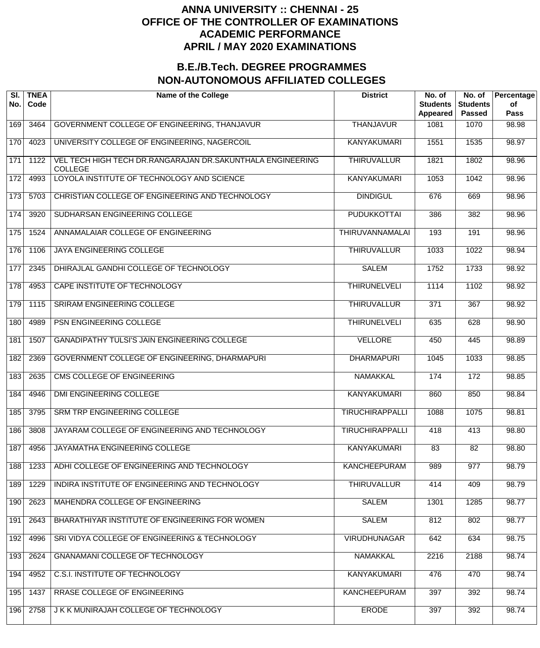| SI.<br>No. | <b>TNEA</b><br>Code | <b>Name of the College</b>                                                   | <b>District</b>        | No. of<br><b>Students</b><br>Appeared | No. of<br><b>Students</b><br><b>Passed</b> | Percentage<br>of<br><b>Pass</b> |
|------------|---------------------|------------------------------------------------------------------------------|------------------------|---------------------------------------|--------------------------------------------|---------------------------------|
| 169        | 3464                | GOVERNMENT COLLEGE OF ENGINEERING, THANJAVUR                                 | <b>THANJAVUR</b>       | 1081                                  | 1070                                       | 98.98                           |
| 170        | 4023                | UNIVERSITY COLLEGE OF ENGINEERING, NAGERCOIL                                 | <b>KANYAKUMARI</b>     | 1551                                  | 1535                                       | 98.97                           |
| 171        | 1122                | VEL TECH HIGH TECH DR.RANGARAJAN DR.SAKUNTHALA ENGINEERING<br><b>COLLEGE</b> | <b>THIRUVALLUR</b>     | 1821                                  | 1802                                       | 98.96                           |
| 172        | 4993                | LOYOLA INSTITUTE OF TECHNOLOGY AND SCIENCE                                   | <b>KANYAKUMARI</b>     | 1053                                  | 1042                                       | 98.96                           |
| 173        | 5703                | CHRISTIAN COLLEGE OF ENGINEERING AND TECHNOLOGY                              | <b>DINDIGUL</b>        | 676                                   | 669                                        | 98.96                           |
| 174        | 3920                | SUDHARSAN ENGINEERING COLLEGE                                                | <b>PUDUKKOTTAI</b>     | 386                                   | 382                                        | 98.96                           |
| 175        | 1524                | ANNAMALAIAR COLLEGE OF ENGINEERING                                           | <b>THIRUVANNAMALAI</b> | 193                                   | 191                                        | 98.96                           |
| 176        | 1106                | <b>JAYA ENGINEERING COLLEGE</b>                                              | <b>THIRUVALLUR</b>     | 1033                                  | 1022                                       | 98.94                           |
| 177        | 2345                | DHIRAJLAL GANDHI COLLEGE OF TECHNOLOGY                                       | <b>SALEM</b>           | 1752                                  | 1733                                       | 98.92                           |
| 178        | 4953                | CAPE INSTITUTE OF TECHNOLOGY                                                 | <b>THIRUNELVELI</b>    | 1114                                  | 1102                                       | 98.92                           |
| 179        | 1115                | SRIRAM ENGINEERING COLLEGE                                                   | <b>THIRUVALLUR</b>     | $\overline{371}$                      | $\overline{367}$                           | 98.92                           |
| 180        | 4989                | PSN ENGINEERING COLLEGE                                                      | <b>THIRUNELVELI</b>    | 635                                   | 628                                        | 98.90                           |
| 181        | 1507                | GANADIPATHY TULSI'S JAIN ENGINEERING COLLEGE                                 | <b>VELLORE</b>         | 450                                   | 445                                        | 98.89                           |
| 182        | 2369                | GOVERNMENT COLLEGE OF ENGINEERING, DHARMAPURI                                | <b>DHARMAPURI</b>      | 1045                                  | 1033                                       | 98.85                           |
| 183        | 2635                | <b>CMS COLLEGE OF ENGINEERING</b>                                            | <b>NAMAKKAL</b>        | 174                                   | 172                                        | 98.85                           |
| 184        | 4946                | DMI ENGINEERING COLLEGE                                                      | <b>KANYAKUMARI</b>     | 860                                   | 850                                        | 98.84                           |
| 185        | 3795                | SRM TRP ENGINEERING COLLEGE                                                  | <b>TIRUCHIRAPPALLI</b> | 1088                                  | 1075                                       | 98.81                           |
| 186        | 3808                | JAYARAM COLLEGE OF ENGINEERING AND TECHNOLOGY                                | <b>TIRUCHIRAPPALLI</b> | 418                                   | 413                                        | 98.80                           |
| 187        | 4956                | JAYAMATHA ENGINEERING COLLEGE                                                | <b>KANYAKUMARI</b>     | 83                                    | 82                                         | 98.80                           |
| 188        | 1233                | ADHI COLLEGE OF ENGINEERING AND TECHNOLOGY                                   | <b>KANCHEEPURAM</b>    | 989                                   | 977                                        | $\frac{1}{98.79}$               |
| 189        | 1229                | INDIRA INSTITUTE OF ENGINEERING AND TECHNOLOGY                               | <b>THIRUVALLUR</b>     | 414                                   | 409                                        | 98.79                           |
| 190        | 2623                | MAHENDRA COLLEGE OF ENGINEERING                                              | <b>SALEM</b>           | 1301                                  | 1285                                       | 98.77                           |
| 191        | 2643                | BHARATHIYAR INSTITUTE OF ENGINEERING FOR WOMEN                               | <b>SALEM</b>           | 812                                   | 802                                        | 98.77                           |
| 192        | 4996                | SRI VIDYA COLLEGE OF ENGINEERING & TECHNOLOGY                                | <b>VIRUDHUNAGAR</b>    | 642                                   | 634                                        | 98.75                           |
| 193        | 2624                | <b>GNANAMANI COLLEGE OF TECHNOLOGY</b>                                       | <b>NAMAKKAL</b>        | 2216                                  | 2188                                       | 98.74                           |
| 194        | 4952                | C.S.I. INSTITUTE OF TECHNOLOGY                                               | <b>KANYAKUMARI</b>     | 476                                   | 470                                        | 98.74                           |
| 195        | 1437                | RRASE COLLEGE OF ENGINEERING                                                 | <b>KANCHEEPURAM</b>    | 397                                   | 392                                        | 98.74                           |
| 196        | 2758                | J K K MUNIRAJAH COLLEGE OF TECHNOLOGY                                        | <b>ERODE</b>           | 397                                   | 392                                        | 98.74                           |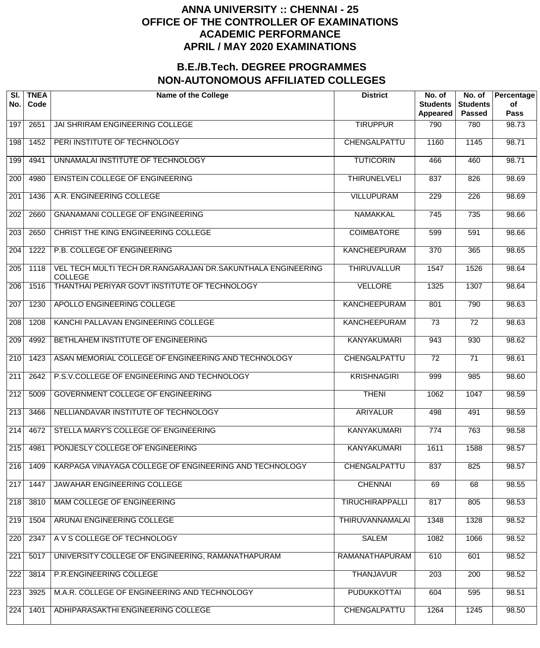| SI.<br>No.       | <b>TNEA</b><br>Code | <b>Name of the College</b>                                                    | <b>District</b>        | No. of<br><b>Students</b><br>Appeared | No. of<br><b>Students</b><br><b>Passed</b> | Percentage<br>of<br><b>Pass</b> |
|------------------|---------------------|-------------------------------------------------------------------------------|------------------------|---------------------------------------|--------------------------------------------|---------------------------------|
| $19\overline{7}$ | 2651                | JAI SHRIRAM ENGINEERING COLLEGE                                               | <b>TIRUPPUR</b>        | 790                                   | 780                                        | 98.73                           |
| 198              | 1452                | PERI INSTITUTE OF TECHNOLOGY                                                  | CHENGALPATTU           | 1160                                  | 1145                                       | 98.71                           |
| 199              | 4941                | UNNAMALAI INSTITUTE OF TECHNOLOGY                                             | <b>TUTICORIN</b>       | 466                                   | 460                                        | 98.71                           |
| 200              | 4980                | <b>EINSTEIN COLLEGE OF ENGINEERING</b>                                        | <b>THIRUNELVELI</b>    | 837                                   | 826                                        | 98.69                           |
| 201              | 1436                | A.R. ENGINEERING COLLEGE                                                      | <b>VILLUPURAM</b>      | 229                                   | 226                                        | 98.69                           |
| 202              | 2660                | <b>GNANAMANI COLLEGE OF ENGINEERING</b>                                       | <b>NAMAKKAL</b>        | $\overline{745}$                      | $\overline{735}$                           | 98.66                           |
| 203              | 2650                | CHRIST THE KING ENGINEERING COLLEGE                                           | <b>COIMBATORE</b>      | 599                                   | 591                                        | 98.66                           |
| 204              | 1222                | P.B. COLLEGE OF ENGINEERING                                                   | <b>KANCHEEPURAM</b>    | $\overline{370}$                      | 365                                        | 98.65                           |
| 205              | 1118                | VEL TECH MULTI TECH DR.RANGARAJAN DR.SAKUNTHALA ENGINEERING<br><b>COLLEGE</b> | <b>THIRUVALLUR</b>     | 1547                                  | 1526                                       | 98.64                           |
| 206              | 1516                | THANTHAI PERIYAR GOVT INSTITUTE OF TECHNOLOGY                                 | <b>VELLORE</b>         | 1325                                  | 1307                                       | 98.64                           |
| 207              | 1230                | APOLLO ENGINEERING COLLEGE                                                    | <b>KANCHEEPURAM</b>    | 801                                   | 790                                        | 98.63                           |
| 208              | 1208                | KANCHI PALLAVAN ENGINEERING COLLEGE                                           | <b>KANCHEEPURAM</b>    | $\overline{73}$                       | $\overline{72}$                            | 98.63                           |
| 209              | 4992                | BETHLAHEM INSTITUTE OF ENGINEERING                                            | <b>KANYAKUMARI</b>     | 943                                   | 930                                        | 98.62                           |
| 210              | 1423                | ASAN MEMORIAL COLLEGE OF ENGINEERING AND TECHNOLOGY                           | CHENGALPATTU           | 72                                    | $\overline{71}$                            | 98.61                           |
| 211              | 2642                | P.S.V.COLLEGE OF ENGINEERING AND TECHNOLOGY                                   | <b>KRISHNAGIRI</b>     | 999                                   | 985                                        | 98.60                           |
| 212              | 5009                | <b>GOVERNMENT COLLEGE OF ENGINEERING</b>                                      | <b>THENI</b>           | 1062                                  | 1047                                       | 98.59                           |
| 213              | 3466                | NELLIANDAVAR INSTITUTE OF TECHNOLOGY                                          | <b>ARIYALUR</b>        | 498                                   | 491                                        | 98.59                           |
| 214              | 4672                | STELLA MARY'S COLLEGE OF ENGINEERING                                          | <b>KANYAKUMARI</b>     | 774                                   | 763                                        | 98.58                           |
| 215              | 4981                | PONJESLY COLLEGE OF ENGINEERING                                               | <b>KANYAKUMARI</b>     | 1611                                  | 1588                                       | 98.57                           |
| 216              | 1409                | KARPAGA VINAYAGA COLLEGE OF ENGINEERING AND TECHNOLOGY                        | CHENGALPATTU           | 837                                   | 825                                        | 98.57                           |
| 217              | 1447                | JAWAHAR ENGINEERING COLLEGE                                                   | <b>CHENNAI</b>         | 69                                    | 68                                         | 98.55                           |
| 218              | 3810                | <b>MAM COLLEGE OF ENGINEERING</b>                                             | <b>TIRUCHIRAPPALLI</b> | 817                                   | 805                                        | 98.53                           |
| 219              | 1504                | ARUNAI ENGINEERING COLLEGE                                                    | THIRUVANNAMALAI        | 1348                                  | 1328                                       | 98.52                           |
| 220              | 2347                | A V S COLLEGE OF TECHNOLOGY                                                   | <b>SALEM</b>           | 1082                                  | 1066                                       | 98.52                           |
| 221              | 5017                | UNIVERSITY COLLEGE OF ENGINEERING, RAMANATHAPURAM                             | RAMANATHAPURAM         | 610                                   | 601                                        | 98.52                           |
| 222              | 3814                | P.R.ENGINEERING COLLEGE                                                       | <b>THANJAVUR</b>       | 203                                   | 200                                        | 98.52                           |
| 223              | 3925                | M.A.R. COLLEGE OF ENGINEERING AND TECHNOLOGY                                  | <b>PUDUKKOTTAI</b>     | 604                                   | 595                                        | 98.51                           |
| 224              | 1401                | ADHIPARASAKTHI ENGINEERING COLLEGE                                            | CHENGALPATTU           | 1264                                  | 1245                                       | 98.50                           |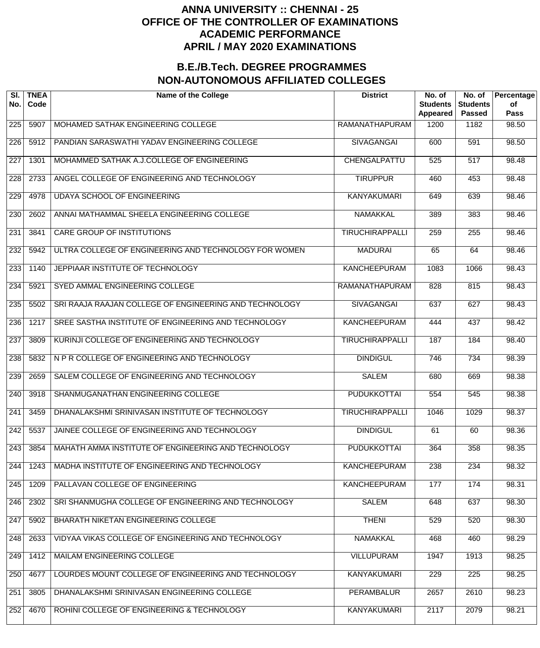| SI.<br>No. | <b>TNEA</b><br>Code | <b>Name of the College</b>                             | <b>District</b>        | No. of<br><b>Students</b><br><b>Appeared</b> | No. of<br><b>Students</b><br><b>Passed</b> | Percentage<br>of<br>Pass |
|------------|---------------------|--------------------------------------------------------|------------------------|----------------------------------------------|--------------------------------------------|--------------------------|
| 225        | 5907                | MOHAMED SATHAK ENGINEERING COLLEGE                     | RAMANATHAPURAM         | 1200                                         | 1182                                       | 98.50                    |
| 226        | 5912                | PANDIAN SARASWATHI YADAV ENGINEERING COLLEGE           | <b>SIVAGANGAI</b>      | 600                                          | 591                                        | 98.50                    |
| 227        | 1301                | MOHAMMED SATHAK A.J.COLLEGE OF ENGINEERING             | CHENGALPATTU           | 525                                          | $\overline{517}$                           | 98.48                    |
| 228        | 2733                | ANGEL COLLEGE OF ENGINEERING AND TECHNOLOGY            | <b>TIRUPPUR</b>        | 460                                          | 453                                        | 98.48                    |
| 229        | 4978                | UDAYA SCHOOL OF ENGINEERING                            | <b>KANYAKUMARI</b>     | 649                                          | 639                                        | 98.46                    |
| 230        | 2602                | ANNAI MATHAMMAL SHEELA ENGINEERING COLLEGE             | <b>NAMAKKAL</b>        | 389                                          | 383                                        | 98.46                    |
| 231        | 3841                | <b>CARE GROUP OF INSTITUTIONS</b>                      | <b>TIRUCHIRAPPALLI</b> | 259                                          | 255                                        | 98.46                    |
| 232        | 5942                | ULTRA COLLEGE OF ENGINEERING AND TECHNOLOGY FOR WOMEN  | <b>MADURAI</b>         | 65                                           | 64                                         | 98.46                    |
| 233        | 1140                | JEPPIAAR INSTITUTE OF TECHNOLOGY                       | <b>KANCHEEPURAM</b>    | 1083                                         | 1066                                       | 98.43                    |
| 234        | 5921                | SYED AMMAL ENGINEERING COLLEGE                         | <b>RAMANATHAPURAM</b>  | 828                                          | 815                                        | 98.43                    |
| 235        | 5502                | SRI RAAJA RAAJAN COLLEGE OF ENGINEERING AND TECHNOLOGY | <b>SIVAGANGAI</b>      | 637                                          | 627                                        | 98.43                    |
| 236        | 1217                | SREE SASTHA INSTITUTE OF ENGINEERING AND TECHNOLOGY    | <b>KANCHEEPURAM</b>    | 444                                          | 437                                        | 98.42                    |
| 237        | 3809                | KURINJI COLLEGE OF ENGINEERING AND TECHNOLOGY          | <b>TIRUCHIRAPPALLI</b> | 187                                          | 184                                        | 98.40                    |
| 238        | 5832                | N P R COLLEGE OF ENGINEERING AND TECHNOLOGY            | <b>DINDIGUL</b>        | 746                                          | 734                                        | 98.39                    |
| 239        | 2659                | SALEM COLLEGE OF ENGINEERING AND TECHNOLOGY            | <b>SALEM</b>           | 680                                          | 669                                        | 98.38                    |
| 240        | 3918                | SHANMUGANATHAN ENGINEERING COLLEGE                     | <b>PUDUKKOTTAI</b>     | 554                                          | 545                                        | 98.38                    |
| 241        | 3459                | DHANALAKSHMI SRINIVASAN INSTITUTE OF TECHNOLOGY        | <b>TIRUCHIRAPPALLI</b> | 1046                                         | 1029                                       | 98.37                    |
| 242        | 5537                | JAINEE COLLEGE OF ENGINEERING AND TECHNOLOGY           | <b>DINDIGUL</b>        | 61                                           | 60                                         | 98.36                    |
| 243        | 3854                | MAHATH AMMA INSTITUTE OF ENGINEERING AND TECHNOLOGY    | <b>PUDUKKOTTAI</b>     | 364                                          | 358                                        | 98.35                    |
| 244        | 1243                | MADHA INSTITUTE OF ENGINEERING AND TECHNOLOGY          | <b>KANCHEEPURAM</b>    | 238                                          | 234                                        | 98.32                    |
| 245        | 1209                | PALLAVAN COLLEGE OF ENGINEERING                        | <b>KANCHEEPURAM</b>    | 177                                          | 174                                        | 98.31                    |
| 246        | 2302                | SRI SHANMUGHA COLLEGE OF ENGINEERING AND TECHNOLOGY    | <b>SALEM</b>           | 648                                          | 637                                        | 98.30                    |
| 247        | 5902                | BHARATH NIKETAN ENGINEERING COLLEGE                    | <b>THENI</b>           | 529                                          | 520                                        | 98.30                    |
| 248        | 2633                | VIDYAA VIKAS COLLEGE OF ENGINEERING AND TECHNOLOGY     | <b>NAMAKKAL</b>        | 468                                          | 460                                        | 98.29                    |
| 249        | 1412                | MAILAM ENGINEERING COLLEGE                             | <b>VILLUPURAM</b>      | 1947                                         | 1913                                       | 98.25                    |
| 250        | 4677                | LOURDES MOUNT COLLEGE OF ENGINEERING AND TECHNOLOGY    | <b>KANYAKUMARI</b>     | 229                                          | 225                                        | 98.25                    |
| 251        | 3805                | DHANALAKSHMI SRINIVASAN ENGINEERING COLLEGE            | <b>PERAMBALUR</b>      | 2657                                         | 2610                                       | 98.23                    |
| 252        | 4670                | ROHINI COLLEGE OF ENGINEERING & TECHNOLOGY             | <b>KANYAKUMARI</b>     | 2117                                         | 2079                                       | 98.21                    |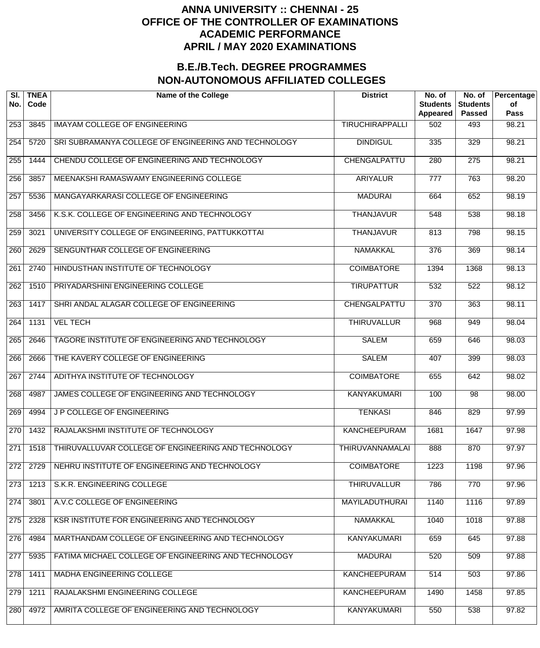| SI.<br>No.       | <b>TNEA</b><br>Code | <b>Name of the College</b>                           | <b>District</b>        | No. of<br><b>Students</b><br>Appeared | No. of<br><b>Students</b><br><b>Passed</b> | Percentage<br>of<br>Pass |
|------------------|---------------------|------------------------------------------------------|------------------------|---------------------------------------|--------------------------------------------|--------------------------|
| 253              | 3845                | <b>IMAYAM COLLEGE OF ENGINEERING</b>                 | <b>TIRUCHIRAPPALLI</b> | 502                                   | 493                                        | 98.21                    |
| 254              | 5720                | SRI SUBRAMANYA COLLEGE OF ENGINEERING AND TECHNOLOGY | <b>DINDIGUL</b>        | 335                                   | 329                                        | 98.21                    |
| 255              | 1444                | CHENDU COLLEGE OF ENGINEERING AND TECHNOLOGY         | CHENGALPATTU           | 280                                   | $\overline{275}$                           | 98.21                    |
| 256              | 3857                | MEENAKSHI RAMASWAMY ENGINEERING COLLEGE              | <b>ARIYALUR</b>        | 777                                   | 763                                        | 98.20                    |
| 257              | 5536                | MANGAYARKARASI COLLEGE OF ENGINEERING                | <b>MADURAI</b>         | 664                                   | 652                                        | 98.19                    |
| 258              | 3456                | K.S.K. COLLEGE OF ENGINEERING AND TECHNOLOGY         | <b>THANJAVUR</b>       | 548                                   | 538                                        | 98.18                    |
| 259              | 3021                | UNIVERSITY COLLEGE OF ENGINEERING, PATTUKKOTTAI      | <b>THANJAVUR</b>       | 813                                   | 798                                        | 98.15                    |
| 260              | 2629                | SENGUNTHAR COLLEGE OF ENGINEERING                    | <b>NAMAKKAL</b>        | $\overline{376}$                      | 369                                        | 98.14                    |
| 261              | 2740                | HINDUSTHAN INSTITUTE OF TECHNOLOGY                   | <b>COIMBATORE</b>      | 1394                                  | 1368                                       | 98.13                    |
| 262              | 1510                | PRIYADARSHINI ENGINEERING COLLEGE                    | <b>TIRUPATTUR</b>      | 532                                   | $\overline{522}$                           | 98.12                    |
| $\overline{263}$ | 1417                | SHRI ANDAL ALAGAR COLLEGE OF ENGINEERING             | <b>CHENGALPATTU</b>    | $\overline{370}$                      | 363                                        | 98.11                    |
| 264              | 1131                | <b>VEL TECH</b>                                      | <b>THIRUVALLUR</b>     | 968                                   | 949                                        | 98.04                    |
| $\overline{265}$ | 2646                | TAGORE INSTITUTE OF ENGINEERING AND TECHNOLOGY       | <b>SALEM</b>           | 659                                   | 646                                        | 98.03                    |
| 266              | 2666                | THE KAVERY COLLEGE OF ENGINEERING                    | <b>SALEM</b>           | 407                                   | 399                                        | 98.03                    |
| 267              | 2744                | ADITHYA INSTITUTE OF TECHNOLOGY                      | <b>COIMBATORE</b>      | 655                                   | 642                                        | 98.02                    |
| 268              | 4987                | JAMES COLLEGE OF ENGINEERING AND TECHNOLOGY          | <b>KANYAKUMARI</b>     | 100                                   | $\overline{98}$                            | 98.00                    |
| 269              | 4994                | J P COLLEGE OF ENGINEERING                           | <b>TENKASI</b>         | 846                                   | 829                                        | 97.99                    |
| 270              | 1432                | RAJALAKSHMI INSTITUTE OF TECHNOLOGY                  | <b>KANCHEEPURAM</b>    | 1681                                  | 1647                                       | 97.98                    |
| 271              | 1518                | THIRUVALLUVAR COLLEGE OF ENGINEERING AND TECHNOLOGY  | <b>THIRUVANNAMALAI</b> | 888                                   | 870                                        | 97.97                    |
| 272              | 2729                | NEHRU INSTITUTE OF ENGINEERING AND TECHNOLOGY        | <b>COIMBATORE</b>      | 1223                                  | 1198                                       | 97.96                    |
| 273              | 1213                | S.K.R. ENGINEERING COLLEGE                           | <b>THIRUVALLUR</b>     | 786                                   | 770                                        | 97.96                    |
| 274              | 3801                | A.V.C COLLEGE OF ENGINEERING                         | <b>MAYILADUTHURAI</b>  | 1140                                  | 1116                                       | 97.89                    |
| 275              | 2328                | KSR INSTITUTE FOR ENGINEERING AND TECHNOLOGY         | <b>NAMAKKAL</b>        | 1040                                  | 1018                                       | 97.88                    |
| 276              | 4984                | MARTHANDAM COLLEGE OF ENGINEERING AND TECHNOLOGY     | <b>KANYAKUMARI</b>     | 659                                   | 645                                        | 97.88                    |
| 277              | 5935                | FATIMA MICHAEL COLLEGE OF ENGINEERING AND TECHNOLOGY | <b>MADURAI</b>         | 520                                   | 509                                        | 97.88                    |
| 278              | 1411                | MADHA ENGINEERING COLLEGE                            | <b>KANCHEEPURAM</b>    | 514                                   | 503                                        | 97.86                    |
| 279              | 1211                | RAJALAKSHMI ENGINEERING COLLEGE                      | <b>KANCHEEPURAM</b>    | 1490                                  | 1458                                       | 97.85                    |
| 280              | 4972                | AMRITA COLLEGE OF ENGINEERING AND TECHNOLOGY         | <b>KANYAKUMARI</b>     | 550                                   | 538                                        | 97.82                    |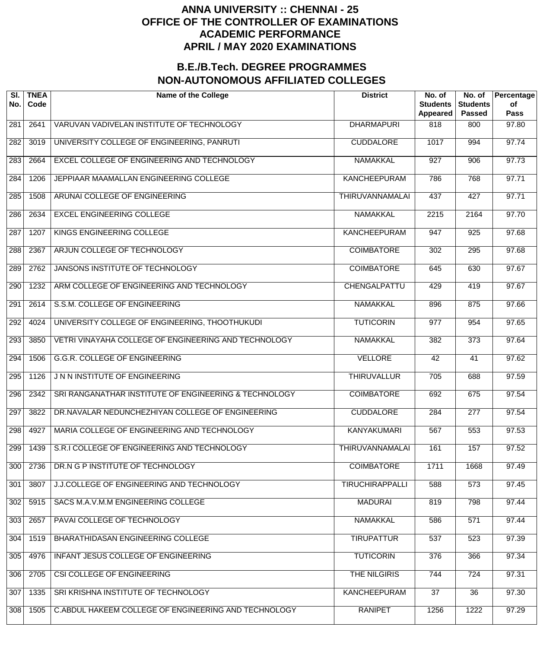| SI.<br>No. | <b>TNEA</b><br>Code | <b>Name of the College</b>                            | <b>District</b>        | No. of<br><b>Students</b><br><b>Appeared</b> | No. of<br><b>Students</b><br><b>Passed</b> | Percentage<br>of<br><b>Pass</b> |
|------------|---------------------|-------------------------------------------------------|------------------------|----------------------------------------------|--------------------------------------------|---------------------------------|
| 281        | 2641                | VARUVAN VADIVELAN INSTITUTE OF TECHNOLOGY             | <b>DHARMAPURI</b>      | 818                                          | 800                                        | 97.80                           |
| 282        | 3019                | UNIVERSITY COLLEGE OF ENGINEERING, PANRUTI            | <b>CUDDALORE</b>       | 1017                                         | 994                                        | 97.74                           |
| 283        | 2664                | EXCEL COLLEGE OF ENGINEERING AND TECHNOLOGY           | <b>NAMAKKAL</b>        | $\overline{927}$                             | $\overline{906}$                           | 97.73                           |
| 284        | 1206                | JEPPIAAR MAAMALLAN ENGINEERING COLLEGE                | <b>KANCHEEPURAM</b>    | 786                                          | 768                                        | 97.71                           |
| 285        | 1508                | ARUNAI COLLEGE OF ENGINEERING                         | <b>THIRUVANNAMALAI</b> | 437                                          | 427                                        | 97.71                           |
| 286        | 2634                | <b>EXCEL ENGINEERING COLLEGE</b>                      | <b>NAMAKKAL</b>        | 2215                                         | 2164                                       | 97.70                           |
| 287        | 1207                | KINGS ENGINEERING COLLEGE                             | KANCHEEPURAM           | $\overline{947}$                             | 925                                        | 97.68                           |
| 288        | 2367                | ARJUN COLLEGE OF TECHNOLOGY                           | <b>COIMBATORE</b>      | 302                                          | 295                                        | 97.68                           |
| 289        | 2762                | JANSONS INSTITUTE OF TECHNOLOGY                       | <b>COIMBATORE</b>      | 645                                          | 630                                        | 97.67                           |
| 290        | 1232                | ARM COLLEGE OF ENGINEERING AND TECHNOLOGY             | CHENGALPATTU           | 429                                          | 419                                        | 97.67                           |
| 291        | 2614                | S.S.M. COLLEGE OF ENGINEERING                         | <b>NAMAKKAL</b>        | 896                                          | 875                                        | 97.66                           |
| 292        | 4024                | UNIVERSITY COLLEGE OF ENGINEERING, THOOTHUKUDI        | <b>TUTICORIN</b>       | 977                                          | 954                                        | 97.65                           |
| 293        | 3850                | VETRI VINAYAHA COLLEGE OF ENGINEERING AND TECHNOLOGY  | <b>NAMAKKAL</b>        | 382                                          | $\overline{373}$                           | 97.64                           |
| 294        | 1506                | <b>G.G.R. COLLEGE OF ENGINEERING</b>                  | <b>VELLORE</b>         | 42                                           | 41                                         | 97.62                           |
| 295        | 1126                | J N N INSTITUTE OF ENGINEERING                        | <b>THIRUVALLUR</b>     | $\overline{705}$                             | 688                                        | 97.59                           |
| 296        | 2342                | SRI RANGANATHAR INSTITUTE OF ENGINEERING & TECHNOLOGY | <b>COIMBATORE</b>      | 692                                          | 675                                        | 97.54                           |
| 297        | 3822                | DR.NAVALAR NEDUNCHEZHIYAN COLLEGE OF ENGINEERING      | <b>CUDDALORE</b>       | 284                                          | $\overline{277}$                           | 97.54                           |
| 298        | 4927                | MARIA COLLEGE OF ENGINEERING AND TECHNOLOGY           | <b>KANYAKUMARI</b>     | 567                                          | 553                                        | 97.53                           |
| 299        | 1439                | S.R.I COLLEGE OF ENGINEERING AND TECHNOLOGY           | <b>THIRUVANNAMALAI</b> | 161                                          | 157                                        | 97.52                           |
| 300        | 2736                | DR.N G P INSTITUTE OF TECHNOLOGY                      | <b>COIMBATORE</b>      | 1711                                         | 1668                                       | 97.49                           |
| 301        | 3807                | J.J.COLLEGE OF ENGINEERING AND TECHNOLOGY             | <b>TIRUCHIRAPPALLI</b> | 588                                          | $\overline{573}$                           | 97.45                           |
| 302        | 5915                | SACS M.A.V.M.M ENGINEERING COLLEGE                    | <b>MADURAI</b>         | 819                                          | 798                                        | 97.44                           |
| 303        | 2657                | PAVAI COLLEGE OF TECHNOLOGY                           | <b>NAMAKKAL</b>        | 586                                          | 571                                        | 97.44                           |
| 304        | 1519                | BHARATHIDASAN ENGINEERING COLLEGE                     | <b>TIRUPATTUR</b>      | 537                                          | $\overline{523}$                           | 97.39                           |
| 305        | 4976                | INFANT JESUS COLLEGE OF ENGINEERING                   | <b>TUTICORIN</b>       | 376                                          | 366                                        | 97.34                           |
| 306        | 2705                | CSI COLLEGE OF ENGINEERING                            | THE NILGIRIS           | 744                                          | 724                                        | 97.31                           |
| 307        | 1335                | SRI KRISHNA INSTITUTE OF TECHNOLOGY                   | <b>KANCHEEPURAM</b>    | $\overline{37}$                              | 36                                         | 97.30                           |
| 308        | 1505                | C.ABDUL HAKEEM COLLEGE OF ENGINEERING AND TECHNOLOGY  | <b>RANIPET</b>         | 1256                                         | 1222                                       | 97.29                           |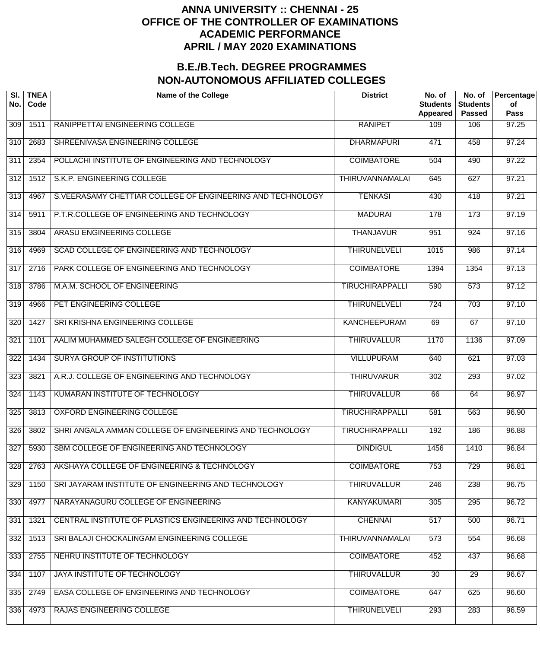| SI.<br>No.       | <b>TNEA</b><br>Code | <b>Name of the College</b>                                 | <b>District</b>        | No. of<br><b>Students</b><br>Appeared | No. of<br><b>Students</b><br><b>Passed</b> | Percentage<br>of<br><b>Pass</b> |
|------------------|---------------------|------------------------------------------------------------|------------------------|---------------------------------------|--------------------------------------------|---------------------------------|
| 309              | 1511                | RANIPPETTAI ENGINEERING COLLEGE                            | <b>RANIPET</b>         | 109                                   | 106                                        | 97.25                           |
| 310              | 2683                | SHREENIVASA ENGINEERING COLLEGE                            | <b>DHARMAPURI</b>      | 471                                   | 458                                        | 97.24                           |
| 311              | 2354                | POLLACHI INSTITUTE OF ENGINEERING AND TECHNOLOGY           | <b>COIMBATORE</b>      | 504                                   | 490                                        | 97.22                           |
| 312              | 1512                | S.K.P. ENGINEERING COLLEGE                                 | <b>THIRUVANNAMALAI</b> | 645                                   | 627                                        | 97.21                           |
| $\overline{313}$ | 4967                | S.VEERASAMY CHETTIAR COLLEGE OF ENGINEERING AND TECHNOLOGY | <b>TENKASI</b>         | 430                                   | 418                                        | 97.21                           |
| $\overline{314}$ | 5911                | P.T.R.COLLEGE OF ENGINEERING AND TECHNOLOGY                | <b>MADURAI</b>         | 178                                   | 173                                        | 97.19                           |
| $\overline{315}$ | 3804                | ARASU ENGINEERING COLLEGE                                  | <b>THANJAVUR</b>       | 951                                   | 924                                        | 97.16                           |
| $\overline{316}$ | 4969                | SCAD COLLEGE OF ENGINEERING AND TECHNOLOGY                 | <b>THIRUNELVELI</b>    | 1015                                  | 986                                        | 97.14                           |
| $\overline{317}$ | 2716                | PARK COLLEGE OF ENGINEERING AND TECHNOLOGY                 | <b>COIMBATORE</b>      | 1394                                  | 1354                                       | 97.13                           |
| 318              | 3786                | M.A.M. SCHOOL OF ENGINEERING                               | <b>TIRUCHIRAPPALLI</b> | 590                                   | $\overline{573}$                           | 97.12                           |
| $\overline{319}$ | 4966                | PET ENGINEERING COLLEGE                                    | <b>THIRUNELVELI</b>    | $\overline{724}$                      | 703                                        | 97.10                           |
| 320              | 1427                | SRI KRISHNA ENGINEERING COLLEGE                            | <b>KANCHEEPURAM</b>    | 69                                    | 67                                         | 97.10                           |
| 321              | 1101                | AALIM MUHAMMED SALEGH COLLEGE OF ENGINEERING               | <b>THIRUVALLUR</b>     | 1170                                  | 1136                                       | 97.09                           |
| 322              | 1434                | <b>SURYA GROUP OF INSTITUTIONS</b>                         | <b>VILLUPURAM</b>      | 640                                   | 621                                        | 97.03                           |
| 323              | 3821                | A.R.J. COLLEGE OF ENGINEERING AND TECHNOLOGY               | <b>THIRUVARUR</b>      | $\overline{302}$                      | 293                                        | 97.02                           |
| 324              | 1143                | KUMARAN INSTITUTE OF TECHNOLOGY                            | <b>THIRUVALLUR</b>     | 66                                    | 64                                         | 96.97                           |
| 325              | 3813                | <b>OXFORD ENGINEERING COLLEGE</b>                          | <b>TIRUCHIRAPPALLI</b> | 581                                   | 563                                        | 96.90                           |
| 326              | 3802                | SHRI ANGALA AMMAN COLLEGE OF ENGINEERING AND TECHNOLOGY    | <b>TIRUCHIRAPPALLI</b> | 192                                   | 186                                        | 96.88                           |
| 327              | 5930                | SBM COLLEGE OF ENGINEERING AND TECHNOLOGY                  | <b>DINDIGUL</b>        | 1456                                  | 1410                                       | 96.84                           |
| 328              | 2763                | AKSHAYA COLLEGE OF ENGINEERING & TECHNOLOGY                | <b>COIMBATORE</b>      | 753                                   | 729                                        | 96.81                           |
| 329              | 1150                | SRI JAYARAM INSTITUTE OF ENGINEERING AND TECHNOLOGY        | <b>THIRUVALLUR</b>     | 246                                   | 238                                        | 96.75                           |
| 330              | 4977                | NARAYANAGURU COLLEGE OF ENGINEERING                        | <b>KANYAKUMARI</b>     | 305                                   | 295                                        | 96.72                           |
| 331              | 1321                | CENTRAL INSTITUTE OF PLASTICS ENGINEERING AND TECHNOLOGY   | <b>CHENNAI</b>         | 517                                   | 500                                        | 96.71                           |
| 332              | 1513                | SRI BALAJI CHOCKALINGAM ENGINEERING COLLEGE                | <b>THIRUVANNAMALAI</b> | 573                                   | 554                                        | 96.68                           |
| 333              | 2755                | NEHRU INSTITUTE OF TECHNOLOGY                              | <b>COIMBATORE</b>      | 452                                   | 437                                        | 96.68                           |
| 334              | 1107                | JAYA INSTITUTE OF TECHNOLOGY                               | <b>THIRUVALLUR</b>     | $\overline{30}$                       | $\overline{29}$                            | 96.67                           |
| 335              | 2749                | EASA COLLEGE OF ENGINEERING AND TECHNOLOGY                 | <b>COIMBATORE</b>      | 647                                   | 625                                        | 96.60                           |
| 336              | 4973                | RAJAS ENGINEERING COLLEGE                                  | <b>THIRUNELVELI</b>    | 293                                   | 283                                        | 96.59                           |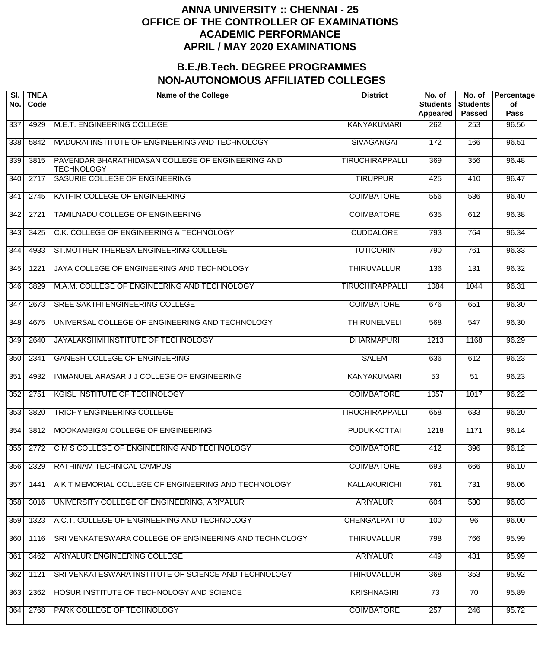| SI.<br>No. | <b>TNEA</b><br>Code | <b>Name of the College</b>                                             | <b>District</b>        | No. of<br><b>Students</b><br>Appeared | No. of<br><b>Students</b><br><b>Passed</b> | Percentage<br>of<br>Pass |
|------------|---------------------|------------------------------------------------------------------------|------------------------|---------------------------------------|--------------------------------------------|--------------------------|
| 337        | 4929                | M.E.T. ENGINEERING COLLEGE                                             | <b>KANYAKUMARI</b>     | 262                                   | 253                                        | 96.56                    |
| 338        | 5842                | MADURAI INSTITUTE OF ENGINEERING AND TECHNOLOGY                        | SIVAGANGAI             | 172                                   | 166                                        | 96.51                    |
| 339        | 3815                | PAVENDAR BHARATHIDASAN COLLEGE OF ENGINEERING AND<br><b>TECHNOLOGY</b> | <b>TIRUCHIRAPPALLI</b> | 369                                   | 356                                        | 96.48                    |
| 340        | 2717                | SASURIE COLLEGE OF ENGINEERING                                         | <b>TIRUPPUR</b>        | 425                                   | 410                                        | 96.47                    |
| 341        | 2745                | KATHIR COLLEGE OF ENGINEERING                                          | <b>COIMBATORE</b>      | 556                                   | 536                                        | 96.40                    |
| 342        | 2721                | TAMILNADU COLLEGE OF ENGINEERING                                       | <b>COIMBATORE</b>      | 635                                   | 612                                        | 96.38                    |
| 343        | 3425                | C.K. COLLEGE OF ENGINEERING & TECHNOLOGY                               | <b>CUDDALORE</b>       | 793                                   | 764                                        | 96.34                    |
| 344        | 4933                | ST.MOTHER THERESA ENGINEERING COLLEGE                                  | <b>TUTICORIN</b>       | 790                                   | 761                                        | 96.33                    |
| 345        | 1221                | JAYA COLLEGE OF ENGINEERING AND TECHNOLOGY                             | <b>THIRUVALLUR</b>     | 136                                   | 131                                        | 96.32                    |
| 346        | 3829                | M.A.M. COLLEGE OF ENGINEERING AND TECHNOLOGY                           | <b>TIRUCHIRAPPALLI</b> | 1084                                  | 1044                                       | 96.31                    |
| 347        | 2673                | SREE SAKTHI ENGINEERING COLLEGE                                        | <b>COIMBATORE</b>      | 676                                   | 651                                        | 96.30                    |
| 348        | 4675                | UNIVERSAL COLLEGE OF ENGINEERING AND TECHNOLOGY                        | <b>THIRUNELVELI</b>    | 568                                   | 547                                        | 96.30                    |
| 349        | 2640                | JAYALAKSHMI INSTITUTE OF TECHNOLOGY                                    | <b>DHARMAPURI</b>      | 1213                                  | 1168                                       | 96.29                    |
| 350        | 2341                | <b>GANESH COLLEGE OF ENGINEERING</b>                                   | <b>SALEM</b>           | 636                                   | 612                                        | 96.23                    |
| 351        | 4932                | IMMANUEL ARASAR J J COLLEGE OF ENGINEERING                             | <b>KANYAKUMARI</b>     | 53                                    | 51                                         | 96.23                    |
| 352        | 2751                | <b>KGISL INSTITUTE OF TECHNOLOGY</b>                                   | <b>COIMBATORE</b>      | 1057                                  | 1017                                       | 96.22                    |
| 353        | 3820                | <b>TRICHY ENGINEERING COLLEGE</b>                                      | <b>TIRUCHIRAPPALLI</b> | 658                                   | 633                                        | 96.20                    |
| 354        | 3812                | MOOKAMBIGAI COLLEGE OF ENGINEERING                                     | <b>PUDUKKOTTAI</b>     | 1218                                  | 1171                                       | 96.14                    |
| 355        | 2772                | C M S COLLEGE OF ENGINEERING AND TECHNOLOGY                            | <b>COIMBATORE</b>      | 412                                   | 396                                        | 96.12                    |
| 356        | 2329                | RATHINAM TECHNICAL CAMPUS                                              | <b>COIMBATORE</b>      | 693                                   | 666                                        | 96.10                    |
| 357        | 1441                | A K T MEMORIAL COLLEGE OF ENGINEERING AND TECHNOLOGY                   | <b>KALLAKURICHI</b>    | 761                                   | 731                                        | 96.06                    |
| 358        | 3016                | UNIVERSITY COLLEGE OF ENGINEERING, ARIYALUR                            | <b>ARIYALUR</b>        | 604                                   | 580                                        | 96.03                    |
| 359        | 1323                | A.C.T. COLLEGE OF ENGINEERING AND TECHNOLOGY                           | CHENGALPATTU           | 100                                   | 96                                         | 96.00                    |
| 360        | 1116                | SRI VENKATESWARA COLLEGE OF ENGINEERING AND TECHNOLOGY                 | <b>THIRUVALLUR</b>     | 798                                   | 766                                        | 95.99                    |
| 361        | 3462                | ARIYALUR ENGINEERING COLLEGE                                           | <b>ARIYALUR</b>        | 449                                   | 431                                        | 95.99                    |
| 362        | 1121                | SRI VENKATESWARA INSTITUTE OF SCIENCE AND TECHNOLOGY                   | <b>THIRUVALLUR</b>     | 368                                   | 353                                        | 95.92                    |
| 363        | 2362                | HOSUR INSTITUTE OF TECHNOLOGY AND SCIENCE                              | <b>KRISHNAGIRI</b>     | 73                                    | $\overline{70}$                            | 95.89                    |
| 364        | 2768                | PARK COLLEGE OF TECHNOLOGY                                             | <b>COIMBATORE</b>      | 257                                   | 246                                        | 95.72                    |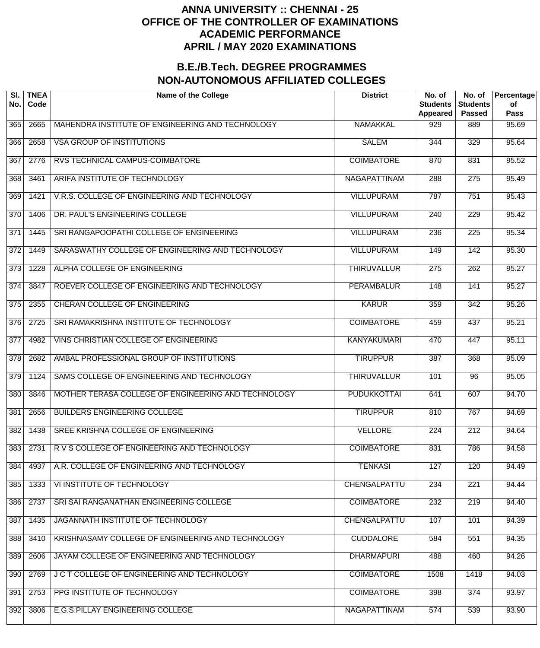| SI.<br>No.       | <b>TNEA</b><br>Code | <b>Name of the College</b>                          | <b>District</b>     | No. of<br><b>Students</b><br>Appeared | No. of<br><b>Students</b><br><b>Passed</b> | Percentage<br>of<br><b>Pass</b> |
|------------------|---------------------|-----------------------------------------------------|---------------------|---------------------------------------|--------------------------------------------|---------------------------------|
| 365              | 2665                | MAHENDRA INSTITUTE OF ENGINEERING AND TECHNOLOGY    | <b>NAMAKKAL</b>     | 929                                   | 889                                        | 95.69                           |
| 366              | 2658                | <b>VSA GROUP OF INSTITUTIONS</b>                    | <b>SALEM</b>        | 344                                   | 329                                        | 95.64                           |
| 367              | 2776                | RVS TECHNICAL CAMPUS-COIMBATORE                     | <b>COIMBATORE</b>   | 870                                   | 831                                        | 95.52                           |
| 368              | 3461                | ARIFA INSTITUTE OF TECHNOLOGY                       | <b>NAGAPATTINAM</b> | 288                                   | 275                                        | 95.49                           |
| 369              | 1421                | V.R.S. COLLEGE OF ENGINEERING AND TECHNOLOGY        | <b>VILLUPURAM</b>   | 787                                   | $\overline{751}$                           | 95.43                           |
| 370              | 1406                | DR. PAUL'S ENGINEERING COLLEGE                      | <b>VILLUPURAM</b>   | 240                                   | $\overline{229}$                           | 95.42                           |
| $\overline{371}$ | 1445                | SRI RANGAPOOPATHI COLLEGE OF ENGINEERING            | <b>VILLUPURAM</b>   | 236                                   | 225                                        | 95.34                           |
| $\overline{372}$ | 1449                | SARASWATHY COLLEGE OF ENGINEERING AND TECHNOLOGY    | <b>VILLUPURAM</b>   | 149                                   | $\overline{142}$                           | 95.30                           |
| $\overline{373}$ | 1228                | ALPHA COLLEGE OF ENGINEERING                        | <b>THIRUVALLUR</b>  | 275                                   | 262                                        | 95.27                           |
| 374              | 3847                | ROEVER COLLEGE OF ENGINEERING AND TECHNOLOGY        | <b>PERAMBALUR</b>   | 148                                   | 141                                        | 95.27                           |
| $\overline{375}$ | 2355                | CHERAN COLLEGE OF ENGINEERING                       | <b>KARUR</b>        | 359                                   | 342                                        | 95.26                           |
| 376              | 2725                | SRI RAMAKRISHNA INSTITUTE OF TECHNOLOGY             | <b>COIMBATORE</b>   | 459                                   | 437                                        | 95.21                           |
| $\overline{377}$ | 4982                | VINS CHRISTIAN COLLEGE OF ENGINEERING               | <b>KANYAKUMARI</b>  | 470                                   | 447                                        | 95.11                           |
| 378              | 2682                | AMBAL PROFESSIONAL GROUP OF INSTITUTIONS            | <b>TIRUPPUR</b>     | 387                                   | 368                                        | 95.09                           |
| 379              | 1124                | SAMS COLLEGE OF ENGINEERING AND TECHNOLOGY          | <b>THIRUVALLUR</b>  | 101                                   | 96                                         | 95.05                           |
| 380              | 3846                | MOTHER TERASA COLLEGE OF ENGINEERING AND TECHNOLOGY | <b>PUDUKKOTTAI</b>  | 641                                   | 607                                        | 94.70                           |
| 381              | 2656                | <b>BUILDERS ENGINEERING COLLEGE</b>                 | <b>TIRUPPUR</b>     | 810                                   | 767                                        | 94.69                           |
| 382              | 1438                | SREE KRISHNA COLLEGE OF ENGINEERING                 | <b>VELLORE</b>      | 224                                   | $\overline{212}$                           | 94.64                           |
| 383              | 2731                | R V S COLLEGE OF ENGINEERING AND TECHNOLOGY         | <b>COIMBATORE</b>   | 831                                   | 786                                        | 94.58                           |
| 384              | 4937                | A.R. COLLEGE OF ENGINEERING AND TECHNOLOGY          | <b>TENKASI</b>      | 127                                   | 120                                        | 94.49                           |
| 385              | 1333                | VI INSTITUTE OF TECHNOLOGY                          | CHENGALPATTU        | 234                                   | $\overline{221}$                           | 94.44                           |
| 386              | 2737                | SRI SAI RANGANATHAN ENGINEERING COLLEGE             | <b>COIMBATORE</b>   | 232                                   | 219                                        | 94.40                           |
| 387              | 1435                | JAGANNATH INSTITUTE OF TECHNOLOGY                   | <b>CHENGALPATTU</b> | 107                                   | 101                                        | 94.39                           |
| 388              | 3410                | KRISHNASAMY COLLEGE OF ENGINEERING AND TECHNOLOGY   | <b>CUDDALORE</b>    | 584                                   | 551                                        | 94.35                           |
| 389              | 2606                | JAYAM COLLEGE OF ENGINEERING AND TECHNOLOGY         | <b>DHARMAPURI</b>   | 488                                   | 460                                        | 94.26                           |
| 390              | 2769                | J C T COLLEGE OF ENGINEERING AND TECHNOLOGY         | <b>COIMBATORE</b>   | 1508                                  | 1418                                       | 94.03                           |
| 391              | 2753                | PPG INSTITUTE OF TECHNOLOGY                         | <b>COIMBATORE</b>   | 398                                   | 374                                        | 93.97                           |
| 392              | 3806                | E.G.S.PILLAY ENGINEERING COLLEGE                    | NAGAPATTINAM        | 574                                   | 539                                        | 93.90                           |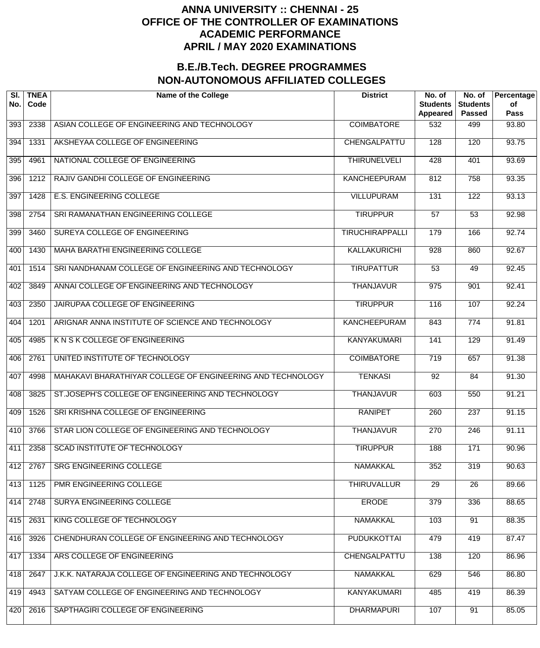| SI.<br>No. | <b>TNEA</b><br>Code | <b>Name of the College</b>                                 | <b>District</b>        | No. of<br><b>Students</b><br>Appeared | No. of<br><b>Students</b><br><b>Passed</b> | Percentage<br>οf<br><b>Pass</b> |
|------------|---------------------|------------------------------------------------------------|------------------------|---------------------------------------|--------------------------------------------|---------------------------------|
| 393        | 2338                | ASIAN COLLEGE OF ENGINEERING AND TECHNOLOGY                | <b>COIMBATORE</b>      | 532                                   | 499                                        | 93.80                           |
| 394        | 1331                | AKSHEYAA COLLEGE OF ENGINEERING                            | CHENGALPATTU           | 128                                   | 120                                        | 93.75                           |
| 395        | 4961                | NATIONAL COLLEGE OF ENGINEERING                            | <b>THIRUNELVELI</b>    | 428                                   | 401                                        | 93.69                           |
| 396        | 1212                | RAJIV GANDHI COLLEGE OF ENGINEERING                        | <b>KANCHEEPURAM</b>    | 812                                   | 758                                        | 93.35                           |
| 397        | 1428                | <b>E.S. ENGINEERING COLLEGE</b>                            | <b>VILLUPURAM</b>      | 131                                   | $\overline{122}$                           | 93.13                           |
| 398        | 2754                | SRI RAMANATHAN ENGINEERING COLLEGE                         | <b>TIRUPPUR</b>        | $\overline{57}$                       | $\overline{53}$                            | 92.98                           |
| 399        | 3460                | SUREYA COLLEGE OF ENGINEERING                              | <b>TIRUCHIRAPPALLI</b> | 179                                   | 166                                        | 92.74                           |
| 400        | 1430                | MAHA BARATHI ENGINEERING COLLEGE                           | <b>KALLAKURICHI</b>    | 928                                   | 860                                        | 92.67                           |
| 401        | 1514                | SRI NANDHANAM COLLEGE OF ENGINEERING AND TECHNOLOGY        | <b>TIRUPATTUR</b>      | $\overline{53}$                       | 49                                         | $\overline{92.45}$              |
| 402        | 3849                | ANNAI COLLEGE OF ENGINEERING AND TECHNOLOGY                | <b>THANJAVUR</b>       | $\overline{975}$                      | 901                                        | 92.41                           |
| 403        | 2350                | JAIRUPAA COLLEGE OF ENGINEERING                            | <b>TIRUPPUR</b>        | 116                                   | 107                                        | 92.24                           |
| 404        | 1201                | ARIGNAR ANNA INSTITUTE OF SCIENCE AND TECHNOLOGY           | <b>KANCHEEPURAM</b>    | 843                                   | $\overline{774}$                           | 91.81                           |
| 405        | 4985                | K N S K COLLEGE OF ENGINEERING                             | <b>KANYAKUMARI</b>     | 141                                   | 129                                        | $\frac{1}{91.49}$               |
| 406        | 2761                | UNITED INSTITUTE OF TECHNOLOGY                             | <b>COIMBATORE</b>      | $\overline{719}$                      | 657                                        | 91.38                           |
| 407        | 4998                | MAHAKAVI BHARATHIYAR COLLEGE OF ENGINEERING AND TECHNOLOGY | <b>TENKASI</b>         | $\overline{92}$                       | 84                                         | 91.30                           |
| 408        | 3825                | ST.JOSEPH'S COLLEGE OF ENGINEERING AND TECHNOLOGY          | <b>THANJAVUR</b>       | 603                                   | 550                                        | 91.21                           |
| 409        | 1526                | SRI KRISHNA COLLEGE OF ENGINEERING                         | <b>RANIPET</b>         | 260                                   | 237                                        | 91.15                           |
| 410        | 3766                | STAR LION COLLEGE OF ENGINEERING AND TECHNOLOGY            | <b>THANJAVUR</b>       | 270                                   | 246                                        | 91.11                           |
| 411        | 2358                | SCAD INSTITUTE OF TECHNOLOGY                               | <b>TIRUPPUR</b>        | 188                                   | 171                                        | 90.96                           |
| 412        | 2767                | <b>SRG ENGINEERING COLLEGE</b>                             | <b>NAMAKKAL</b>        | 352                                   | 319                                        | 90.63                           |
| 413        | 1125                | PMR ENGINEERING COLLEGE                                    | <b>THIRUVALLUR</b>     | $\overline{29}$                       | $\overline{26}$                            | 89.66                           |
| 414        | 2748                | <b>SURYA ENGINEERING COLLEGE</b>                           | <b>ERODE</b>           | 379                                   | 336                                        | 88.65                           |
| 415        | 2631                | KING COLLEGE OF TECHNOLOGY                                 | <b>NAMAKKAL</b>        | 103                                   | $\overline{91}$                            | 88.35                           |
| 416        | 3926                | CHENDHURAN COLLEGE OF ENGINEERING AND TECHNOLOGY           | <b>PUDUKKOTTAI</b>     | 479                                   | 419                                        | 87.47                           |
| 417        | 1334                | ARS COLLEGE OF ENGINEERING                                 | CHENGALPATTU           | 138                                   | 120                                        | 86.96                           |
| 418        | 2647                | J.K.K. NATARAJA COLLEGE OF ENGINEERING AND TECHNOLOGY      | <b>NAMAKKAL</b>        | 629                                   | 546                                        | 86.80                           |
| 419        | 4943                | SATYAM COLLEGE OF ENGINEERING AND TECHNOLOGY               | <b>KANYAKUMARI</b>     | 485                                   | 419                                        | 86.39                           |
| 420        | 2616                | SAPTHAGIRI COLLEGE OF ENGINEERING                          | <b>DHARMAPURI</b>      | 107                                   | $\overline{91}$                            | 85.05                           |